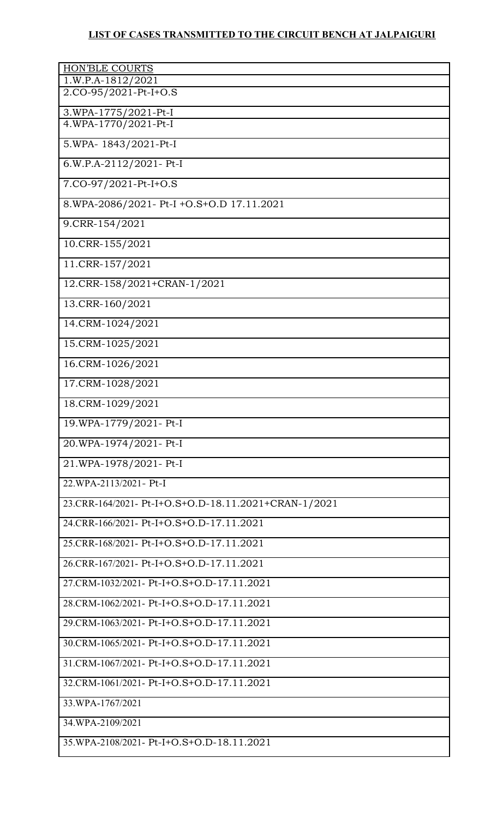## **LIST OF CASES TRANSMITTED TO THE CIRCUIT BENCH AT JALPAIGURI**

| <b>HON'BLE COURTS</b><br>$1.W.P.A-1812/2021$         |
|------------------------------------------------------|
| 2.CO-95/2021-Pt-I+O.S                                |
| 3.WPA-1775/2021-Pt-I                                 |
| 4.WPA-1770/2021-Pt-I                                 |
| 5.WPA-1843/2021-Pt-I                                 |
| 6.W.P.A-2112/2021- Pt-I                              |
| 7.CO-97/2021-Pt-I+O.S                                |
| 8.WPA-2086/2021- Pt-I + O.S + O.D 17.11.2021         |
| 9.CRR-154/2021                                       |
| 10.CRR-155/2021                                      |
| 11.CRR-157/2021                                      |
| 12.CRR-158/2021+CRAN-1/2021                          |
| 13.CRR-160/2021                                      |
| 14.CRM-1024/2021                                     |
| 15.CRM-1025/2021                                     |
| 16.CRM-1026/2021                                     |
| 17.CRM-1028/2021                                     |
| 18.CRM-1029/2021                                     |
| 19. WPA-1779/2021 - Pt-I                             |
| 20.WPA-1974/2021- Pt-I                               |
| 21.WPA-1978/2021- Pt-I                               |
| 22. WPA-2113/2021 - Pt-I                             |
| 23.CRR-164/2021- Pt-I+O.S+O.D-18.11.2021+CRAN-1/2021 |
| 24.CRR-166/2021- Pt-I+O.S+O.D-17.11.2021             |
| 25.CRR-168/2021- Pt-I+O.S+O.D-17.11.2021             |
| 26.CRR-167/2021- Pt-I+O.S+O.D-17.11.2021             |
| 27.CRM-1032/2021- Pt-I+O.S+O.D-17.11.2021            |
| 28.CRM-1062/2021- Pt-I+O.S+O.D-17.11.2021            |
| 29.CRM-1063/2021- Pt-I+O.S+O.D-17.11.2021            |
| 30.CRM-1065/2021- Pt-I+O.S+O.D-17.11.2021            |
| 31.CRM-1067/2021- Pt-I+O.S+O.D-17.11.2021            |
| 32.CRM-1061/2021- Pt-I+O.S+O.D-17.11.2021            |
| 33. WPA-1767/2021                                    |
| 34.WPA-2109/2021                                     |
| 35.WPA-2108/2021- Pt-I+O.S+O.D-18.11.2021            |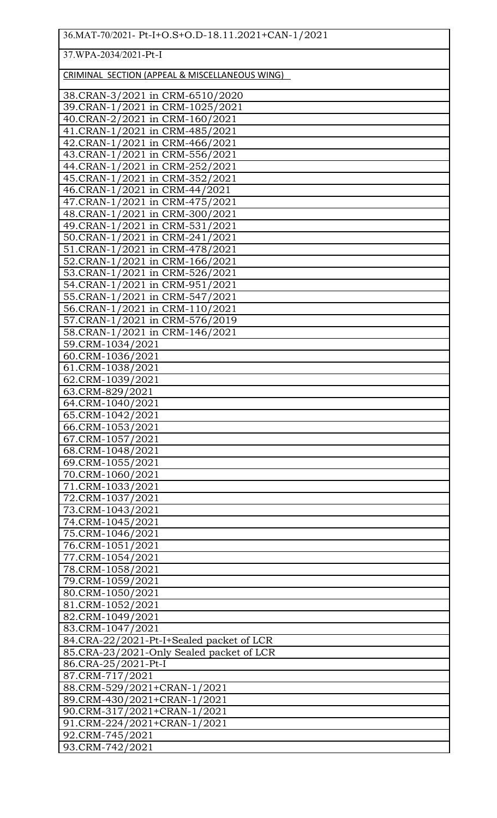37.WPA-2034/2021-Pt-I

CRIMINAL SECTION (APPEAL & MISCELLANEOUS WING)

| <u>CHIMIN IL SECTION (ATT EAL &amp; MISCLED INLOCES MINO)</u> |
|---------------------------------------------------------------|
| 38.CRAN-3/2021 in CRM-6510/2020                               |
| 39.CRAN-1/2021 in CRM-1025/2021                               |
| 40.CRAN-2/2021 in CRM-160/2021                                |
| 41.CRAN-1/2021 in CRM-485/2021                                |
| 42.CRAN-1/2021 in CRM-466/2021                                |
| 43.CRAN-1/2021 in CRM-556/2021                                |
| 44.CRAN-1/2021 in CRM-252/2021                                |
| 45.CRAN-1/2021 in CRM-352/2021                                |
| 46.CRAN-1/2021 in CRM-44/2021                                 |
| 47.CRAN-1/2021 in CRM-475/2021                                |
| 48.CRAN-1/2021 in CRM-300/2021                                |
| 49.CRAN-1/2021 in CRM-531/2021                                |
| 50.CRAN-1/2021 in CRM-241/2021                                |
| 51.CRAN-1/2021 in CRM-478/2021                                |
| 52.CRAN-1/2021 in CRM-166/2021                                |
| 53.CRAN-1/2021 in CRM-526/2021                                |
| 54.CRAN-1/2021 in CRM-951/2021                                |
| 55.CRAN-1/2021 in CRM-547/2021                                |
| 56.CRAN-1/2021 in CRM-110/2021                                |
| 57.CRAN-1/2021 in CRM-576/2019                                |
| 58.CRAN-1/2021 in CRM-146/2021                                |
| 59.CRM-1034/2021                                              |
| 60.CRM-1036/2021                                              |
| 61.CRM-1038/2021                                              |
| 62.CRM-1039/2021                                              |
| 63.CRM-829/2021                                               |
| 64.CRM-1040/2021                                              |
| 65.CRM-1042/2021                                              |
| 66.CRM-1053/2021                                              |
| 67.CRM-1057/2021                                              |
| 68.CRM-1048/2021                                              |
| 69.CRM-1055/2021                                              |
| 70.CRM-1060/2021                                              |
| 71.CRM-1033/2021                                              |
| 72.CRM-1037/2021                                              |
| 73.CRM-1043/2021                                              |
| 74.CRM-1045/2021                                              |
| 75.CRM-1046/2021                                              |
| 76.CRM-1051/2021                                              |
| 77.CRM-1054/2021                                              |
| 78.CRM-1058/2021                                              |
| 79.CRM-1059/2021                                              |
| 80.CRM-1050/2021                                              |
| 81.CRM-1052/2021                                              |
| 82.CRM-1049/2021                                              |
| 83.CRM-1047/2021                                              |
| 84.CRA-22/2021-Pt-I+Sealed packet of LCR                      |
| 85.CRA-23/2021-Only Sealed packet of LCR                      |
| 86.CRA-25/2021-Pt-I                                           |
| 87.CRM-717/2021                                               |
| 88.CRM-529/2021+CRAN-1/2021                                   |
| 89.CRM-430/2021+CRAN-1/2021                                   |
| 90.CRM-317/2021+CRAN-1/2021                                   |
| 91.CRM-224/2021+CRAN-1/2021                                   |
| 92.CRM-745/2021                                               |
| 93.CRM-742/2021                                               |
|                                                               |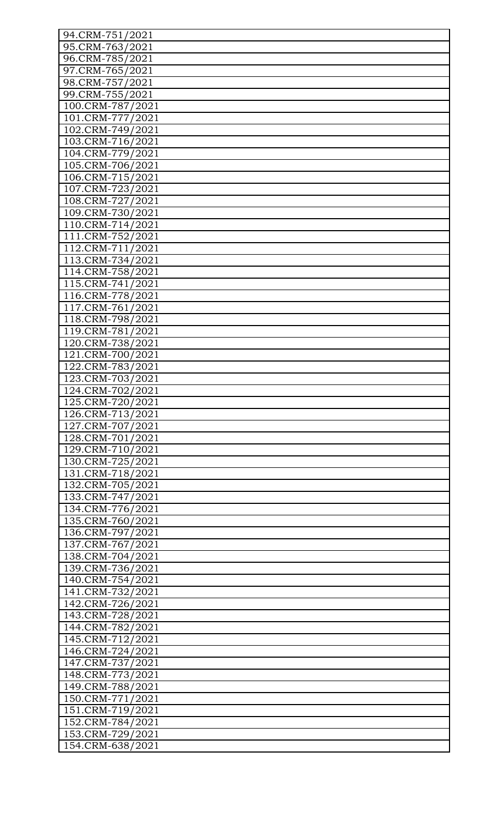| 94.CRM-751/2021  |
|------------------|
| 95.CRM-763/2021  |
| 96.CRM-785/2021  |
| 97.CRM-765/2021  |
| 98.CRM-757/2021  |
| 99.CRM-755/2021  |
| 100.CRM-787/2021 |
| 101.CRM-777/2021 |
| 102.CRM-749/2021 |
| 103.CRM-716/2021 |
| 104.CRM-779/2021 |
| 105.CRM-706/2021 |
| 106.CRM-715/2021 |
| 107.CRM-723/2021 |
| 108.CRM-727/2021 |
| 109.CRM-730/2021 |
| 110.CRM-714/2021 |
|                  |
| 111.CRM-752/2021 |
| 112.CRM-711/2021 |
| 113.CRM-734/2021 |
| 114.CRM-758/2021 |
| 115.CRM-741/2021 |
| 116.CRM-778/2021 |
| 117.CRM-761/2021 |
| 118.CRM-798/2021 |
| 119.CRM-781/2021 |
| 120.CRM-738/2021 |
| 121.CRM-700/2021 |
| 122.CRM-783/2021 |
| 123.CRM-703/2021 |
| 124.CRM-702/2021 |
| 125.CRM-720/2021 |
| 126.CRM-713/2021 |
| 127.CRM-707/2021 |
| 128.CRM-701/2021 |
| 129.CRM-710/2021 |
| 130.CRM-725/2021 |
| 131.CRM-718/2021 |
| 132.CRM-705/2021 |
| 133.CRM-747/2021 |
| 134.CRM-776/2021 |
| 135.CRM-760/2021 |
| 136.CRM-797/2021 |
| 137.CRM-767/2021 |
| 138.CRM-704/2021 |
| 139.CRM-736/2021 |
| 140.CRM-754/2021 |
| 141.CRM-732/2021 |
| 142.CRM-726/2021 |
| 143.CRM-728/2021 |
| 144.CRM-782/2021 |
| 145.CRM-712/2021 |
| 146.CRM-724/2021 |
| 147.CRM-737/2021 |
| 148.CRM-773/2021 |
| 149.CRM-788/2021 |
| 150.CRM-771/2021 |
| 151.CRM-719/2021 |
| 152.CRM-784/2021 |
| 153.CRM-729/2021 |
|                  |
| 154.CRM-638/2021 |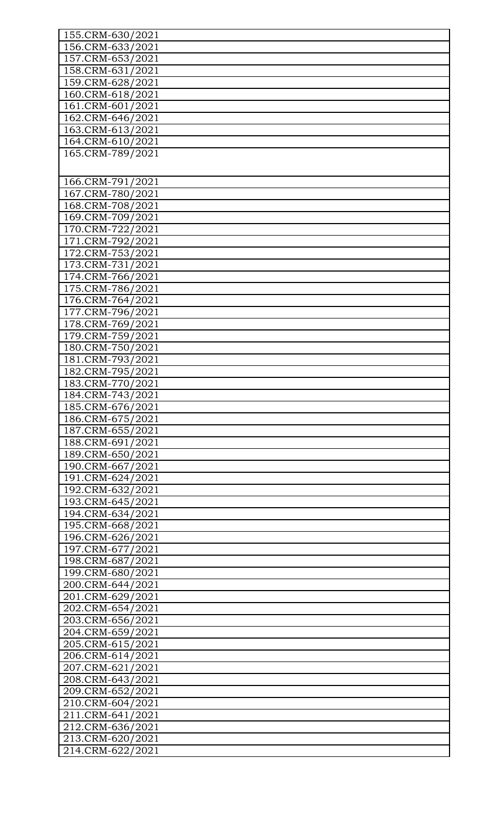| 155.CRM-630/2021                     |
|--------------------------------------|
| 156.CRM-633/2021                     |
| 157.CRM-653/2021                     |
| 158.CRM-631/2021                     |
| 159.CRM-628/2021                     |
| 160.CRM-618/2021                     |
| 161.CRM-601/2021                     |
| 162.CRM-646/2021                     |
| 163.CRM-613/2021                     |
| 164.CRM-610/2021                     |
| 165.CRM-789/2021                     |
|                                      |
|                                      |
| 166.CRM-791/2021                     |
| 167.CRM-780/2021                     |
| 168.CRM-708/2021                     |
| 169.CRM-709/2021                     |
| 170.CRM-722/2021                     |
| 171.CRM-792/2021                     |
| 172.CRM-753/2021                     |
| 173.CRM-731/2021                     |
| 174.CRM-766/2021                     |
| 175.CRM-786/2021                     |
| 176.CRM-764/2021                     |
| 177.CRM-796/2021                     |
| 178.CRM-769/2021                     |
| 179.CRM-759/2021                     |
| 180.CRM-750/2021                     |
| 181.CRM-793/2021                     |
| 182.CRM-795/2021                     |
| 183.CRM-770/2021                     |
|                                      |
| 184.CRM-743/2021<br>185.CRM-676/2021 |
| 186.CRM-675/2021                     |
| 187.CRM-655/2021                     |
|                                      |
| 188.CRM-691/2021                     |
| 189.CRM-650/2021                     |
| 190.CRM-667/2021                     |
| 191.CRM-624/2021                     |
| 192.CRM-632/2021                     |
| 193.CRM-645/2021                     |
| 194.CRM-634/2021                     |
| 195.CRM-668/2021                     |
| 196.CRM-626/2021                     |
| 197.CRM-677/2021                     |
| 198.CRM-687/2021                     |
| 199.CRM-680/2021                     |
| 200.CRM-644/2021                     |
| 201.CRM-629/2021                     |
| 202.CRM-654/2021                     |
| 203.CRM-656/2021                     |
| 204.CRM-659/2021                     |
| 205.CRM-615/2021                     |
| 206.CRM-614/2021                     |
| 207.CRM-621/2021                     |
| 208.CRM-643/2021                     |
| 209.CRM-652/2021                     |
| 210.CRM-604/2021                     |
| 211.CRM-641/2021                     |
| 212.CRM-636/2021                     |
| 213.CRM-620/2021                     |
| 214.CRM-622/2021                     |
|                                      |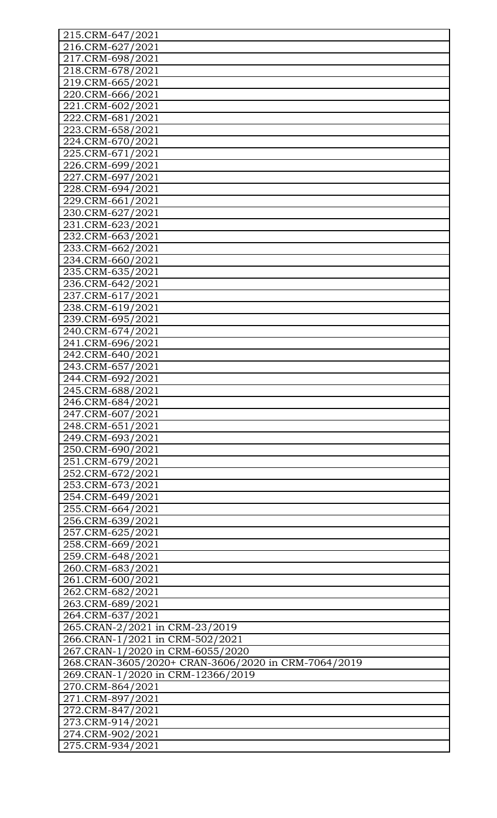| 215.CRM-647/2021                                    |
|-----------------------------------------------------|
| 216.CRM-627/2021                                    |
| 217.CRM-698/2021                                    |
| 218.CRM-678/2021                                    |
| 219.CRM-665/2021                                    |
| 220.CRM-666/2021                                    |
| 221.CRM-602/2021                                    |
|                                                     |
| 222.CRM-681/2021                                    |
| 223.CRM-658/2021                                    |
| 224.CRM-670/2021                                    |
| 225.CRM-671/2021                                    |
| 226.CRM-699/2021                                    |
| 227.CRM-697/2021                                    |
| 228.CRM-694/2021                                    |
| 229.CRM-661/2021                                    |
| 230.CRM-627/2021                                    |
| 231.CRM-623/2021                                    |
| 232.CRM-663/2021                                    |
| 233.CRM-662/2021                                    |
| 234.CRM-660/2021                                    |
| 235.CRM-635/2021                                    |
| 236.CRM-642/2021                                    |
| 237.CRM-617/2021                                    |
| 238.CRM-619/2021                                    |
| 239.CRM-695/2021                                    |
| 240.CRM-674/2021                                    |
| 241.CRM-696/2021                                    |
| 242.CRM-640/2021                                    |
| 243.CRM-657/2021                                    |
|                                                     |
| 244.CRM-692/2021                                    |
| 245.CRM-688/2021                                    |
| 246.CRM-684/2021                                    |
| 247.CRM-607/2021                                    |
| 248.CRM-651/2021                                    |
| 249.CRM-693/2021                                    |
| 250.CRM-690/2021                                    |
| 251.CRM-679/2021                                    |
| 252.CRM-672/2021                                    |
| 253.CRM-673/2021                                    |
| 254.CRM-649/2021                                    |
| 255.CRM-664/2021                                    |
| 256.CRM-639/2021                                    |
| 257.CRM-625/2021                                    |
| 258.CRM-669/2021                                    |
| 259.CRM-648/2021                                    |
| 260.CRM-683/2021                                    |
| 261.CRM-600/2021                                    |
| 262.CRM-682/2021                                    |
| 263.CRM-689/2021                                    |
| 264.CRM-637/2021                                    |
| 265.CRAN-2/2021 in CRM-23/2019                      |
| 266.CRAN-1/2021 in CRM-502/2021                     |
| 267.CRAN-1/2020 in CRM-6055/2020                    |
|                                                     |
| 268.CRAN-3605/2020+ CRAN-3606/2020 in CRM-7064/2019 |
| 269.CRAN-1/2020 in CRM-12366/2019                   |
| 270.CRM-864/2021                                    |
| 271.CRM-897/2021                                    |
| 272.CRM-847/2021                                    |
| 273.CRM-914/2021                                    |
| 274.CRM-902/2021                                    |
| 275.CRM-934/2021                                    |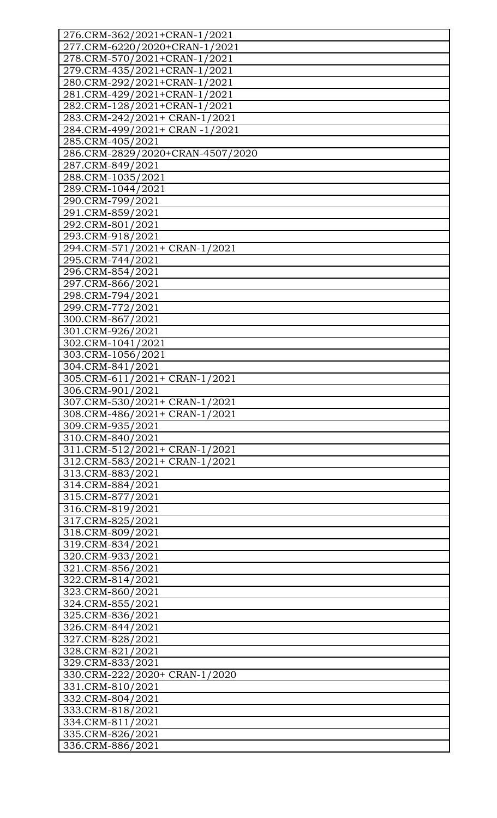| 276.CRM-362/2021+CRAN-1/2021     |
|----------------------------------|
| 277.CRM-6220/2020+CRAN-1/2021    |
| 278.CRM-570/2021+CRAN-1/2021     |
| 279.CRM-435/2021+CRAN-1/2021     |
| 280.CRM-292/2021+CRAN-1/2021     |
| 281.CRM-429/2021+CRAN-1/2021     |
| 282.CRM-128/2021+CRAN-1/2021     |
| 283.CRM-242/2021+ CRAN-1/2021    |
| 284.CRM-499/2021+ CRAN-1/2021    |
| 285.CRM-405/2021                 |
| 286.CRM-2829/2020+CRAN-4507/2020 |
| 287.CRM-849/2021                 |
| 288.CRM-1035/2021                |
| 289.CRM-1044/2021                |
| 290.CRM-799/2021                 |
| 291.CRM-859/2021                 |
|                                  |
| 292.CRM-801/2021                 |
| 293.CRM-918/2021                 |
| 294.CRM-571/2021+ CRAN-1/2021    |
| 295.CRM-744/2021                 |
| 296.CRM-854/2021                 |
| 297.CRM-866/2021                 |
| 298.CRM-794/2021                 |
| 299.CRM-772/2021                 |
| 300.CRM-867/2021                 |
| 301.CRM-926/2021                 |
| 302.CRM-1041/2021                |
| 303.CRM-1056/2021                |
| 304.CRM-841/2021                 |
| 305.CRM-611/2021+ CRAN-1/2021    |
| 306.CRM-901/2021                 |
| 307.CRM-530/2021+ CRAN-1/2021    |
| 308.CRM-486/2021+ CRAN-1/2021    |
| 309.CRM-935/2021                 |
| 310.CRM-840/2021                 |
| 311.CRM-512/2021+ CRAN-1/2021    |
| 312.CRM-583/2021+ CRAN-1/2021    |
| 313.CRM-883/2021                 |
| 314.CRM-884/2021                 |
| 315.CRM-877/2021                 |
| 316.CRM-819/2021                 |
| 317.CRM-825/2021                 |
| 318.CRM-809/2021                 |
| 319.CRM-834/2021                 |
| 320.CRM-933/2021                 |
| 321.CRM-856/2021                 |
| 322.CRM-814/2021                 |
|                                  |
| 323.CRM-860/2021                 |
| 324.CRM-855/2021                 |
| 325.CRM-836/2021                 |
| 326.CRM-844/2021                 |
| 327.CRM-828/2021                 |
| 328.CRM-821/2021                 |
| 329.CRM-833/2021                 |
| 330.CRM-222/2020+ CRAN-1/2020    |
| 331.CRM-810/2021                 |
| 332.CRM-804/2021                 |
| 333.CRM-818/2021                 |
| 334.CRM-811/2021                 |
| 335.CRM-826/2021                 |
| 336.CRM-886/2021                 |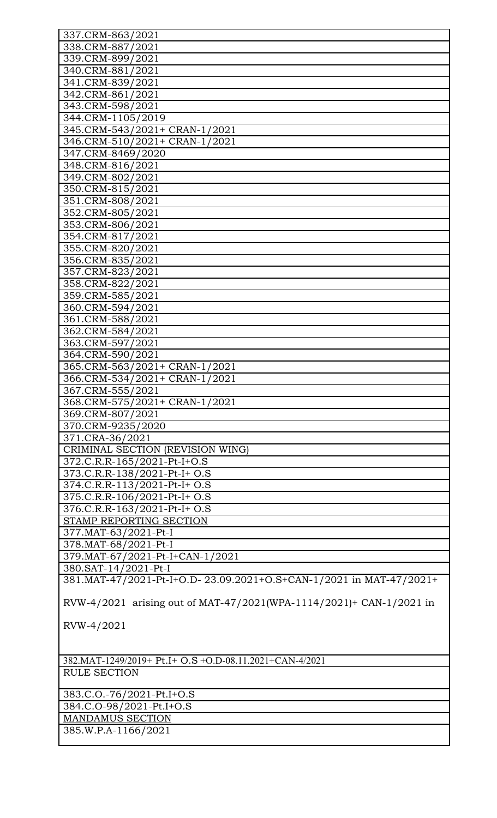| 337.CRM-863/2021                                                    |
|---------------------------------------------------------------------|
| 338.CRM-887/2021                                                    |
| 339.CRM-899/2021                                                    |
| 340.CRM-881/2021                                                    |
| 341.CRM-839/2021                                                    |
| 342.CRM-861/2021                                                    |
| 343.CRM-598/2021                                                    |
| 344.CRM-1105/2019                                                   |
|                                                                     |
| 345.CRM-543/2021+ CRAN-1/2021                                       |
| 346.CRM-510/2021+ CRAN-1/2021                                       |
| 347.CRM-8469/2020                                                   |
| 348.CRM-816/2021                                                    |
| 349.CRM-802/2021                                                    |
| 350.CRM-815/2021                                                    |
| 351.CRM-808/2021                                                    |
| 352.CRM-805/2021                                                    |
| 353.CRM-806/2021                                                    |
| 354.CRM-817/2021                                                    |
| 355.CRM-820/2021                                                    |
| 356.CRM-835/2021                                                    |
| 357.CRM-823/2021                                                    |
| 358.CRM-822/2021                                                    |
| 359.CRM-585/2021                                                    |
| 360.CRM-594/2021                                                    |
| 361.CRM-588/2021                                                    |
| 362.CRM-584/2021                                                    |
| 363.CRM-597/2021                                                    |
| 364.CRM-590/2021                                                    |
| 365.CRM-563/2021+ CRAN-1/2021                                       |
|                                                                     |
| 366.CRM-534/2021+ CRAN-1/2021                                       |
| 367.CRM-555/2021                                                    |
| 368.CRM-575/2021+ CRAN-1/2021                                       |
| 369.CRM-807/2021                                                    |
| 370.CRM-9235/2020                                                   |
| 371.CRA-36/2021                                                     |
| CRIMINAL SECTION (REVISION WING)                                    |
| 372.C.R.R-165/2021-Pt-I+O.S                                         |
| 373.C.R.R-138/2021-Pt-I+ O.S                                        |
| 374.C.R.R-113/2021-Pt-I+ O.S                                        |
| 375.C.R.R-106/2021-Pt-I+ O.S                                        |
| 376.C.R.R-163/2021-Pt-I+ O.S                                        |
| STAMP REPORTING SECTION                                             |
| 377.MAT-63/2021-Pt-I                                                |
| 378. MAT-68/2021-Pt-I                                               |
| 379. MAT-67/2021-Pt-I+CAN-1/2021                                    |
| 380.SAT-14/2021-Pt-I                                                |
| 381.MAT-47/2021-Pt-I+O.D-23.09.2021+O.S+CAN-1/2021 in MAT-47/2021+  |
|                                                                     |
| RVW-4/2021 arising out of MAT-47/2021(WPA-1114/2021)+ CAN-1/2021 in |
|                                                                     |
| RVW-4/2021                                                          |
|                                                                     |
|                                                                     |
| 382.MAT-1249/2019+ Pt.I+ O.S + O.D-08.11.2021+CAN-4/2021            |
| <b>RULE SECTION</b>                                                 |
|                                                                     |
| 383.C.O.-76/2021-Pt.I+O.S                                           |
| 384.C.O-98/2021-Pt.I+O.S                                            |
| <b>MANDAMUS SECTION</b>                                             |
| 385.W.P.A-1166/2021                                                 |
|                                                                     |
|                                                                     |